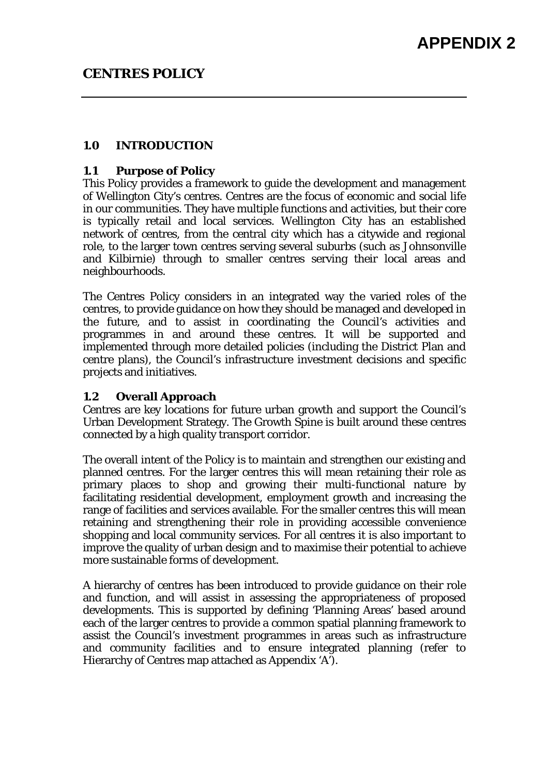### **1.0 INTRODUCTION**

### **1.1 Purpose of Policy**

This Policy provides a framework to guide the development and management of Wellington City's centres. Centres are the focus of economic and social life in our communities. They have multiple functions and activities, but their core is typically retail and local services. Wellington City has an established network of centres, from the central city which has a citywide and regional role, to the larger town centres serving several suburbs (such as Johnsonville and Kilbirnie) through to smaller centres serving their local areas and neighbourhoods.

The Centres Policy considers in an integrated way the varied roles of the centres, to provide guidance on how they should be managed and developed in the future, and to assist in coordinating the Council's activities and programmes in and around these centres. It will be supported and implemented through more detailed policies (including the District Plan and centre plans), the Council's infrastructure investment decisions and specific projects and initiatives.

## **1.2 Overall Approach**

Centres are key locations for future urban growth and support the Council's Urban Development Strategy. The Growth Spine is built around these centres connected by a high quality transport corridor.

The overall intent of the Policy is to maintain and strengthen our existing and planned centres. For the larger centres this will mean retaining their role as primary places to shop and growing their multi-functional nature by facilitating residential development, employment growth and increasing the range of facilities and services available. For the smaller centres this will mean retaining and strengthening their role in providing accessible convenience shopping and local community services. For all centres it is also important to improve the quality of urban design and to maximise their potential to achieve more sustainable forms of development.

A hierarchy of centres has been introduced to provide guidance on their role and function, and will assist in assessing the appropriateness of proposed developments. This is supported by defining 'Planning Areas' based around each of the larger centres to provide a common spatial planning framework to assist the Council's investment programmes in areas such as infrastructure and community facilities and to ensure integrated planning (refer to Hierarchy of Centres map attached as Appendix 'A').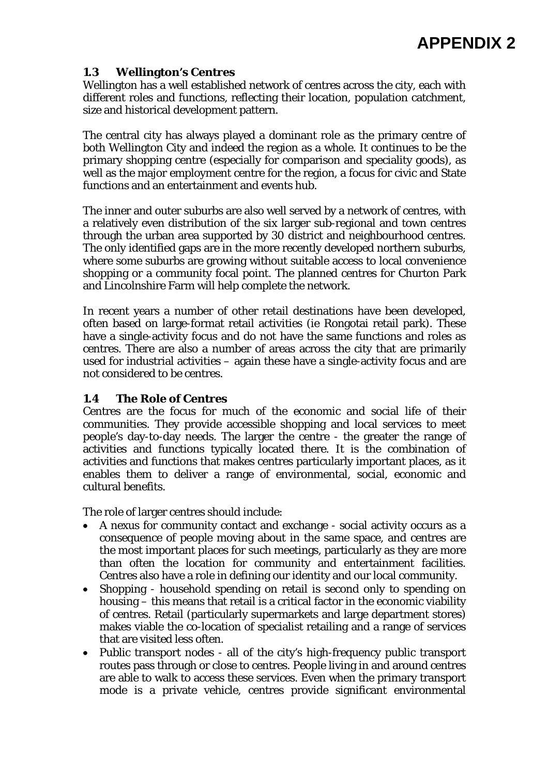# **1.3 Wellington's Centres**

Wellington has a well established network of centres across the city, each with different roles and functions, reflecting their location, population catchment, size and historical development pattern.

The central city has always played a dominant role as the primary centre of both Wellington City and indeed the region as a whole. It continues to be the primary shopping centre (especially for comparison and speciality goods), as well as the major employment centre for the region, a focus for civic and State functions and an entertainment and events hub.

The inner and outer suburbs are also well served by a network of centres, with a relatively even distribution of the six larger sub-regional and town centres through the urban area supported by 30 district and neighbourhood centres. The only identified gaps are in the more recently developed northern suburbs, where some suburbs are growing without suitable access to local convenience shopping or a community focal point. The planned centres for Churton Park and Lincolnshire Farm will help complete the network.

In recent years a number of other retail destinations have been developed, often based on large-format retail activities (ie Rongotai retail park). These have a single-activity focus and do not have the same functions and roles as centres. There are also a number of areas across the city that are primarily used for industrial activities – again these have a single-activity focus and are not considered to be centres.

## **1.4 The Role of Centres**

Centres are the focus for much of the economic and social life of their communities. They provide accessible shopping and local services to meet people's day-to-day needs. The larger the centre - the greater the range of activities and functions typically located there. It is the combination of activities and functions that makes centres particularly important places, as it enables them to deliver a range of environmental, social, economic and cultural benefits.

The role of larger centres should include:

- A nexus for community contact and exchange social activity occurs as a consequence of people moving about in the same space, and centres are the most important places for such meetings, particularly as they are more than often the location for community and entertainment facilities. Centres also have a role in defining our identity and our local community.
- Shopping household spending on retail is second only to spending on housing – this means that retail is a critical factor in the economic viability of centres. Retail (particularly supermarkets and large department stores) makes viable the co-location of specialist retailing and a range of services that are visited less often.
- Public transport nodes all of the city's high-frequency public transport routes pass through or close to centres. People living in and around centres are able to walk to access these services. Even when the primary transport mode is a private vehicle, centres provide significant environmental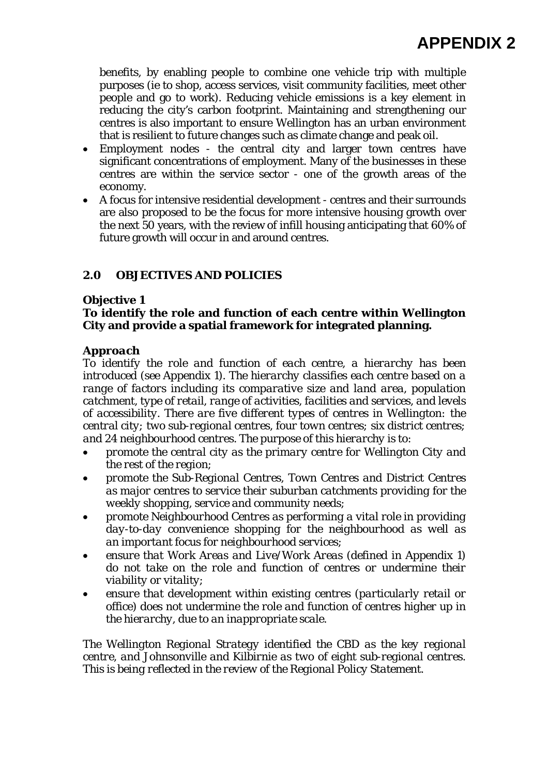benefits, by enabling people to combine one vehicle trip with multiple purposes (ie to shop, access services, visit community facilities, meet other people and go to work). Reducing vehicle emissions is a key element in reducing the city's carbon footprint. Maintaining and strengthening our centres is also important to ensure Wellington has an urban environment that is resilient to future changes such as climate change and peak oil.

- Employment nodes the central city and larger town centres have significant concentrations of employment. Many of the businesses in these centres are within the service sector - one of the growth areas of the economy.
- A focus for intensive residential development centres and their surrounds are also proposed to be the focus for more intensive housing growth over the next 50 years, with the review of infill housing anticipating that 60% of future growth will occur in and around centres.

# **2.0 OBJECTIVES AND POLICIES**

# **Objective 1**

# **To identify the role and function of each centre within Wellington City and provide a spatial framework for integrated planning.**

# *Approach*

*To identify the role and function of each centre, a hierarchy has been introduced (see Appendix 1). The hierarchy classifies each centre based on a range of factors including its comparative size and land area, population catchment, type of retail, range of activities, facilities and services, and levels of accessibility. There are five different types of centres in Wellington: the central city; two sub-regional centres, four town centres; six district centres; and 24 neighbourhood centres. The purpose of this hierarchy is to:* 

- *promote the central city as the primary centre for Wellington City and the rest of the region;*
- *promote the Sub-Regional Centres, Town Centres and District Centres as major centres to service their suburban catchments providing for the weekly shopping, service and community needs;*
- *promote Neighbourhood Centres as performing a vital role in providing day-to-day convenience shopping for the neighbourhood as well as an important focus for neighbourhood services;*
- *ensure that Work Areas and Live/Work Areas (defined in Appendix 1) do not take on the role and function of centres or undermine their viability or vitality;*
- *ensure that development within existing centres (particularly retail or office) does not undermine the role and function of centres higher up in the hierarchy, due to an inappropriate scale.*

*The Wellington Regional Strategy identified the CBD as the key regional centre, and Johnsonville and Kilbirnie as two of eight sub-regional centres. This is being reflected in the review of the Regional Policy Statement.*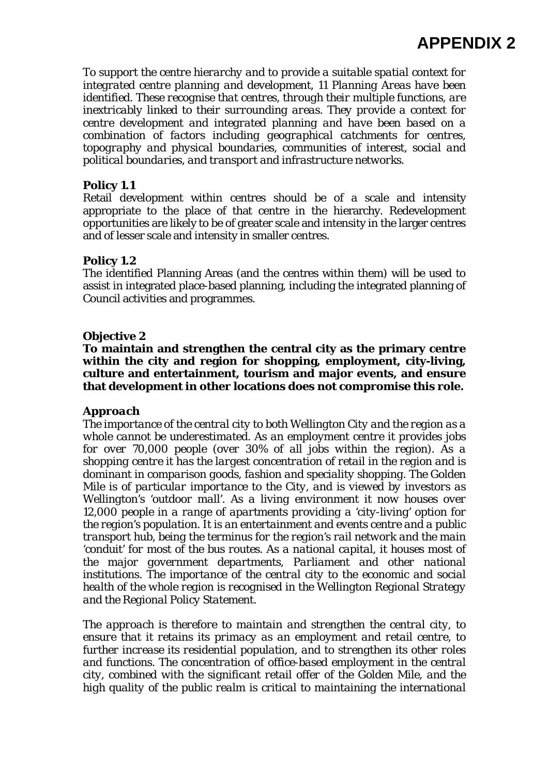*To support the centre hierarchy and to provide a suitable spatial context for integrated centre planning and development, 11 Planning Areas have been identified. These recognise that centres, through their multiple functions, are inextricably linked to their surrounding areas. They provide a context for centre development and integrated planning and have been based on a combination of factors including geographical catchments for centres, topography and physical boundaries, communities of interest, social and political boundaries, and transport and infrastructure networks.* 

# **Policy 1.1**

Retail development within centres should be of a scale and intensity appropriate to the place of that centre in the hierarchy. Redevelopment opportunities are likely to be of greater scale and intensity in the larger centres and of lesser scale and intensity in smaller centres.

# **Policy 1.2**

The identified Planning Areas (and the centres within them) will be used to assist in integrated place-based planning, including the integrated planning of Council activities and programmes.

## **Objective 2**

**To maintain and strengthen the central city as the primary centre within the city and region for shopping, employment, city-living, culture and entertainment, tourism and major events, and ensure that development in other locations does not compromise this role.** 

## *Approach*

*The importance of the central city to both Wellington City and the region as a whole cannot be underestimated. As an employment centre it provides jobs for over 70,000 people (over 30% of all jobs within the region). As a shopping centre it has the largest concentration of retail in the region and is dominant in comparison goods, fashion and speciality shopping. The Golden Mile is of particular importance to the City, and is viewed by investors as Wellington's 'outdoor mall'. As a living environment it now houses over 12,000 people in a range of apartments providing a 'city-living' option for the region's population. It is an entertainment and events centre and a public transport hub, being the terminus for the region's rail network and the main 'conduit' for most of the bus routes. As a national capital, it houses most of the major government departments, Parliament and other national institutions. The importance of the central city to the economic and social health of the whole region is recognised in the Wellington Regional Strategy and the Regional Policy Statement.* 

*The approach is therefore to maintain and strengthen the central city, to ensure that it retains its primacy as an employment and retail centre, to further increase its residential population, and to strengthen its other roles and functions. The concentration of office-based employment in the central city, combined with the significant retail offer of the Golden Mile, and the high quality of the public realm is critical to maintaining the international*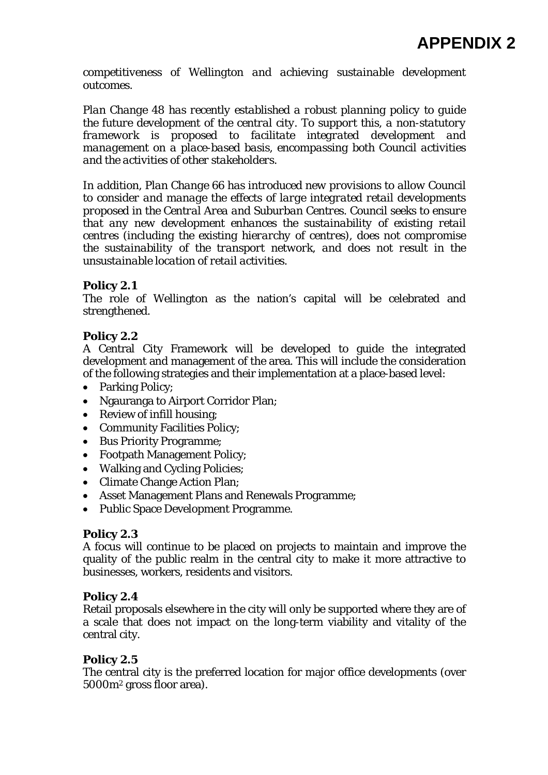*competitiveness of Wellington and achieving sustainable development outcomes.* 

*Plan Change 48 has recently established a robust planning policy to guide the future development of the central city. To support this, a non-statutory framework is proposed to facilitate integrated development and management on a place-based basis, encompassing both Council activities and the activities of other stakeholders.* 

*In addition, Plan Change 66 has introduced new provisions to allow Council to consider and manage the effects of large integrated retail developments proposed in the Central Area and Suburban Centres. Council seeks to ensure that any new development enhances the sustainability of existing retail centres (including the existing hierarchy of centres), does not compromise the sustainability of the transport network, and does not result in the unsustainable location of retail activities.* 

# **Policy 2.1**

The role of Wellington as the nation's capital will be celebrated and strengthened.

# **Policy 2.2**

A Central City Framework will be developed to guide the integrated development and management of the area. This will include the consideration of the following strategies and their implementation at a place-based level:

- Parking Policy;
- Ngauranga to Airport Corridor Plan;
- Review of infill housing;
- Community Facilities Policy;
- Bus Priority Programme;
- Footpath Management Policy;
- Walking and Cycling Policies:
- Climate Change Action Plan;
- Asset Management Plans and Renewals Programme;
- Public Space Development Programme.

## **Policy 2.3**

A focus will continue to be placed on projects to maintain and improve the quality of the public realm in the central city to make it more attractive to businesses, workers, residents and visitors.

## **Policy 2.4**

Retail proposals elsewhere in the city will only be supported where they are of a scale that does not impact on the long-term viability and vitality of the central city.

## **Policy 2.5**

The central city is the preferred location for major office developments (over 5000m2 gross floor area).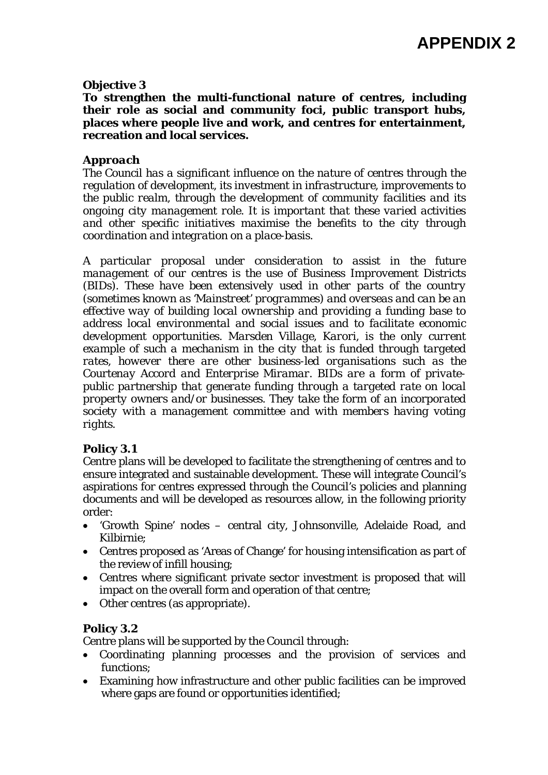#### **Objective 3**

**To strengthen the multi-functional nature of centres, including their role as social and community foci, public transport hubs, places where people live and work, and centres for entertainment, recreation and local services.** 

#### *Approach*

*The Council has a significant influence on the nature of centres through the regulation of development, its investment in infrastructure, improvements to the public realm, through the development of community facilities and its ongoing city management role. It is important that these varied activities and other specific initiatives maximise the benefits to the city through coordination and integration on a place-basis.* 

*A particular proposal under consideration to assist in the future management of our centres is the use of Business Improvement Districts (BIDs). These have been extensively used in other parts of the country (sometimes known as 'Mainstreet' programmes) and overseas and can be an effective way of building local ownership and providing a funding base to address local environmental and social issues and to facilitate economic development opportunities. Marsden Village, Karori, is the only current example of such a mechanism in the city that is funded through targeted rates, however there are other business-led organisations such as the Courtenay Accord and Enterprise Miramar. BIDs are a form of privatepublic partnership that generate funding through a targeted rate on local property owners and/or businesses. They take the form of an incorporated society with a management committee and with members having voting rights.* 

## **Policy 3.1**

Centre plans will be developed to facilitate the strengthening of centres and to ensure integrated and sustainable development. These will integrate Council's aspirations for centres expressed through the Council's policies and planning documents and will be developed as resources allow, in the following priority order:

- 'Growth Spine' nodes central city, Johnsonville, Adelaide Road, and Kilbirnie;
- Centres proposed as 'Areas of Change' for housing intensification as part of the review of infill housing;
- Centres where significant private sector investment is proposed that will impact on the overall form and operation of that centre;
- Other centres (as appropriate).

#### **Policy 3.2**

Centre plans will be supported by the Council through:

- Coordinating planning processes and the provision of services and functions;
- Examining how infrastructure and other public facilities can be improved where gaps are found or opportunities identified;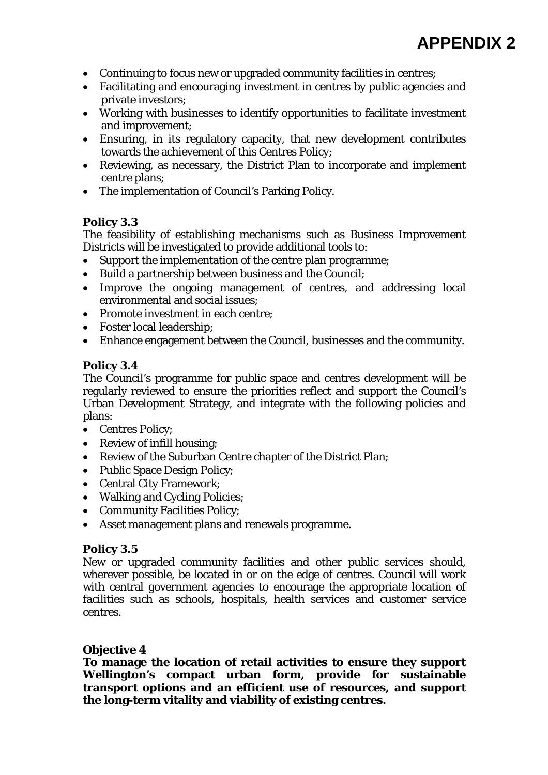- Continuing to focus new or upgraded community facilities in centres;
- Facilitating and encouraging investment in centres by public agencies and private investors;
- Working with businesses to identify opportunities to facilitate investment and improvement;
- Ensuring, in its regulatory capacity, that new development contributes towards the achievement of this Centres Policy;
- Reviewing, as necessary, the District Plan to incorporate and implement centre plans;
- The implementation of Council's Parking Policy.

# **Policy 3.3**

The feasibility of establishing mechanisms such as Business Improvement Districts will be investigated to provide additional tools to:

- Support the implementation of the centre plan programme;
- Build a partnership between business and the Council;
- Improve the ongoing management of centres, and addressing local environmental and social issues;
- Promote investment in each centre:
- Foster local leadership;
- Enhance engagement between the Council, businesses and the community.

# **Policy 3.4**

The Council's programme for public space and centres development will be regularly reviewed to ensure the priorities reflect and support the Council's Urban Development Strategy, and integrate with the following policies and plans:

- Centres Policy:
- Review of infill housing;
- Review of the Suburban Centre chapter of the District Plan;
- Public Space Design Policy;
- Central City Framework;
- Walking and Cycling Policies;
- Community Facilities Policy;
- Asset management plans and renewals programme.

## **Policy 3.5**

New or upgraded community facilities and other public services should, wherever possible, be located in or on the edge of centres. Council will work with central government agencies to encourage the appropriate location of facilities such as schools, hospitals, health services and customer service centres.

# **Objective 4**

**To manage the location of retail activities to ensure they support Wellington's compact urban form, provide for sustainable transport options and an efficient use of resources, and support the long-term vitality and viability of existing centres.**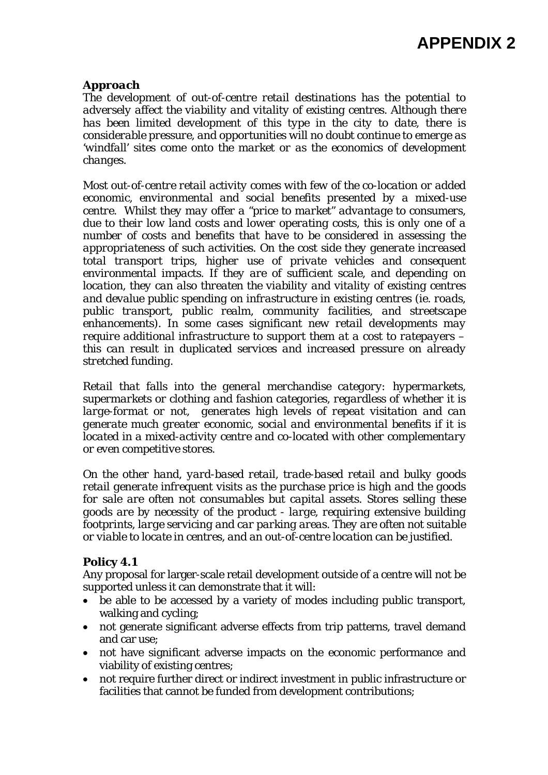## *Approach*

*The development of out-of-centre retail destinations has the potential to adversely affect the viability and vitality of existing centres. Although there has been limited development of this type in the city to date, there is considerable pressure, and opportunities will no doubt continue to emerge as 'windfall' sites come onto the market or as the economics of development changes.* 

*Most out-of-centre retail activity comes with few of the co-location or added economic, environmental and social benefits presented by a mixed-use centre. Whilst they may offer a "price to market" advantage to consumers, due to their low land costs and lower operating costs, this is only one of a number of costs and benefits that have to be considered in assessing the appropriateness of such activities. On the cost side they generate increased total transport trips, higher use of private vehicles and consequent*  environmental impacts. If they are of sufficient scale, and depending on *location, they can also threaten the viability and vitality of existing centres and devalue public spending on infrastructure in existing centres (ie. roads, public transport, public realm, community facilities, and streetscape enhancements). In some cases significant new retail developments may require additional infrastructure to support them at a cost to ratepayers – this can result in duplicated services and increased pressure on already stretched funding.* 

*Retail that falls into the general merchandise category: hypermarkets, supermarkets or clothing and fashion categories, regardless of whether it is large-format or not, generates high levels of repeat visitation and can generate much greater economic, social and environmental benefits if it is located in a mixed-activity centre and co-located with other complementary or even competitive stores.* 

*On the other hand, yard-based retail, trade-based retail and bulky goods retail generate infrequent visits as the purchase price is high and the goods for sale are often not consumables but capital assets. Stores selling these goods are by necessity of the product - large, requiring extensive building footprints, large servicing and car parking areas. They are often not suitable or viable to locate in centres, and an out-of-centre location can be justified.* 

#### **Policy 4.1**

Any proposal for larger-scale retail development outside of a centre will not be supported unless it can demonstrate that it will:

- be able to be accessed by a variety of modes including public transport, walking and cycling;
- not generate significant adverse effects from trip patterns, travel demand and car use;
- not have significant adverse impacts on the economic performance and viability of existing centres;
- not require further direct or indirect investment in public infrastructure or facilities that cannot be funded from development contributions;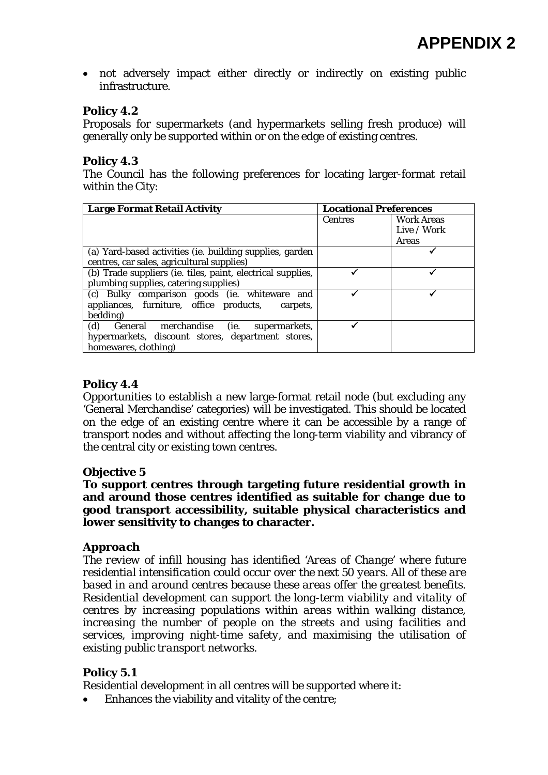• not adversely impact either directly or indirectly on existing public infrastructure.

# **Policy 4.2**

Proposals for supermarkets (and hypermarkets selling fresh produce) will generally only be supported within or on the edge of existing centres.

# **Policy 4.3**

The Council has the following preferences for locating larger-format retail within the City:

| <b>Large Format Retail Activity</b>                         | <b>Locational Preferences</b> |                   |
|-------------------------------------------------------------|-------------------------------|-------------------|
|                                                             | <b>Centres</b>                | <b>Work Areas</b> |
|                                                             |                               | Live / Work       |
|                                                             |                               | <b>Areas</b>      |
| (a) Yard-based activities (ie. building supplies, garden    |                               |                   |
| centres, car sales, agricultural supplies)                  |                               |                   |
| (b) Trade suppliers (ie. tiles, paint, electrical supplies, |                               |                   |
| plumbing supplies, catering supplies)                       |                               |                   |
| (c) Bulky comparison goods (ie. whiteware and               |                               |                   |
| appliances, furniture, office products,<br>carpets.         |                               |                   |
| bedding)                                                    |                               |                   |
| (d)<br>General merchandise (ie. supermarkets,               |                               |                   |
| hypermarkets, discount stores, department stores,           |                               |                   |
| homewares, clothing)                                        |                               |                   |

# **Policy 4.4**

Opportunities to establish a new large-format retail node (but excluding any 'General Merchandise' categories) will be investigated. This should be located on the edge of an existing centre where it can be accessible by a range of transport nodes and without affecting the long-term viability and vibrancy of the central city or existing town centres.

## **Objective 5**

**To support centres through targeting future residential growth in and around those centres identified as suitable for change due to good transport accessibility, suitable physical characteristics and lower sensitivity to changes to character.** 

# *Approach*

*The review of infill housing has identified 'Areas of Change' where future residential intensification could occur over the next 50 years. All of these are based in and around centres because these areas offer the greatest benefits. Residential development can support the long-term viability and vitality of centres by increasing populations within areas within walking distance, increasing the number of people on the streets and using facilities and services, improving night-time safety, and maximising the utilisation of existing public transport networks.* 

# **Policy 5.1**

Residential development in all centres will be supported where it:

Enhances the viability and vitality of the centre;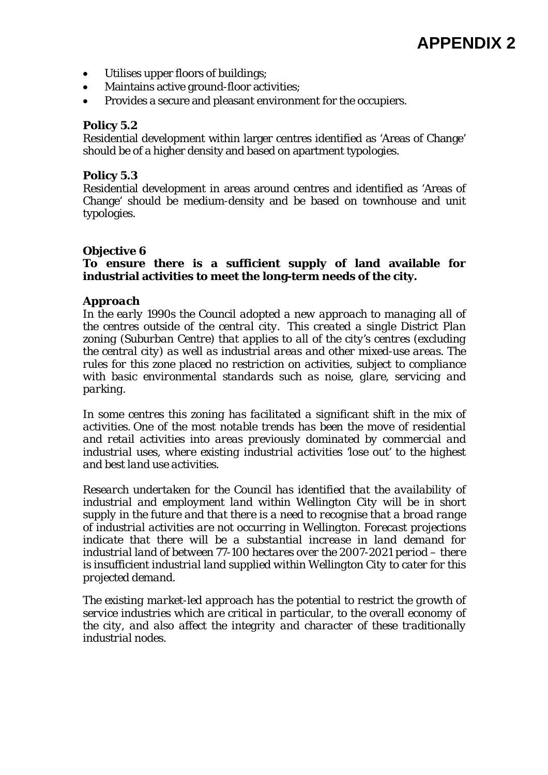- Utilises upper floors of buildings;
- Maintains active ground-floor activities;
- Provides a secure and pleasant environment for the occupiers.

#### **Policy 5.2**

Residential development within larger centres identified as 'Areas of Change' should be of a higher density and based on apartment typologies.

#### **Policy 5.3**

Residential development in areas around centres and identified as 'Areas of Change' should be medium-density and be based on townhouse and unit typologies.

#### **Objective 6**

#### **To ensure there is a sufficient supply of land available for industrial activities to meet the long-term needs of the city.**

#### *Approach*

*In the early 1990s the Council adopted a new approach to managing all of the centres outside of the central city. This created a single District Plan zoning (Suburban Centre) that applies to all of the city's centres (excluding the central city) as well as industrial areas and other mixed-use areas. The rules for this zone placed no restriction on activities, subject to compliance with basic environmental standards such as noise, glare, servicing and parking.* 

*In some centres this zoning has facilitated a significant shift in the mix of activities. One of the most notable trends has been the move of residential and retail activities into areas previously dominated by commercial and industrial uses, where existing industrial activities 'lose out' to the highest and best land use activities.* 

*Research undertaken for the Council has identified that the availability of industrial and employment land within Wellington City will be in short supply in the future and that there is a need to recognise that a broad range of industrial activities are not occurring in Wellington. Forecast projections indicate that there will be a substantial increase in land demand for industrial land of between 77-100 hectares over the 2007-2021 period – there is insufficient industrial land supplied within Wellington City to cater for this projected demand.* 

*The existing market-led approach has the potential to restrict the growth of service industries which are critical in particular, to the overall economy of the city, and also affect the integrity and character of these traditionally industrial nodes.*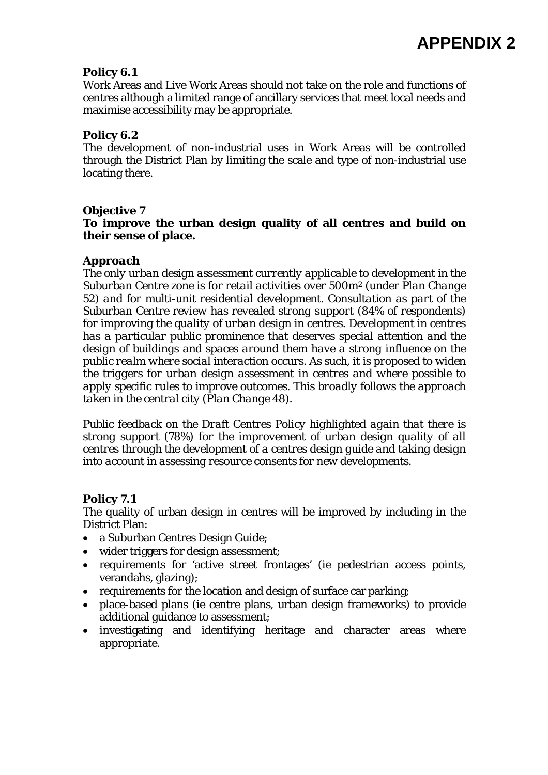# **Policy 6.1**

Work Areas and Live Work Areas should not take on the role and functions of centres although a limited range of ancillary services that meet local needs and maximise accessibility may be appropriate.

### **Policy 6.2**

The development of non-industrial uses in Work Areas will be controlled through the District Plan by limiting the scale and type of non-industrial use locating there.

## **Objective 7**

## **To improve the urban design quality of all centres and build on their sense of place.**

### *Approach*

*The only urban design assessment currently applicable to development in the Suburban Centre zone is for retail activities over 500m2 (under Plan Change 52) and for multi-unit residential development. Consultation as part of the Suburban Centre review has revealed strong support (84% of respondents) for improving the quality of urban design in centres. Development in centres has a particular public prominence that deserves special attention and the design of buildings and spaces around them have a strong influence on the public realm where social interaction occurs. As such, it is proposed to widen the triggers for urban design assessment in centres and where possible to apply specific rules to improve outcomes. This broadly follows the approach taken in the central city (Plan Change 48).* 

*Public feedback on the Draft Centres Policy highlighted again that there is strong support (78%) for the improvement of urban design quality of all centres through the development of a centres design guide and taking design into account in assessing resource consents for new developments.* 

## **Policy 7.1**

The quality of urban design in centres will be improved by including in the District Plan:

- a Suburban Centres Design Guide;
- wider triggers for design assessment;
- requirements for 'active street frontages' (ie pedestrian access points, verandahs, glazing);
- requirements for the location and design of surface car parking;
- place-based plans (ie centre plans, urban design frameworks) to provide additional guidance to assessment;
- investigating and identifying heritage and character areas where appropriate.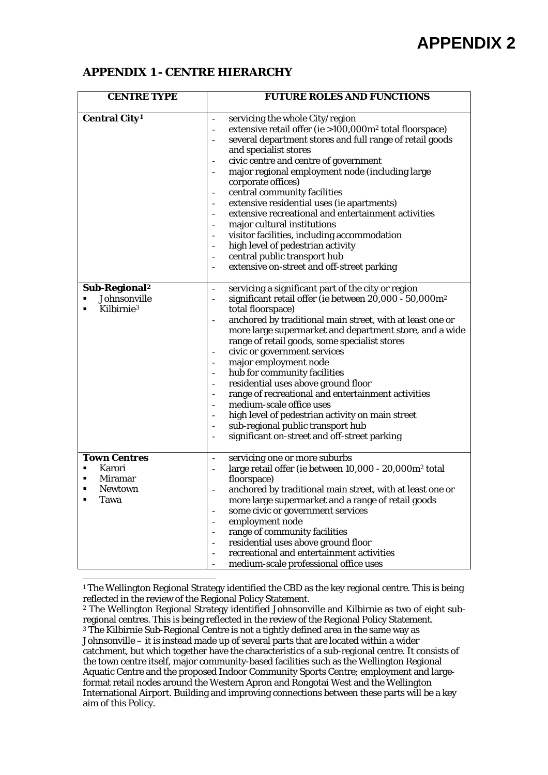### **APPENDIX 1 - CENTRE HIERARCHY**

| <b>CENTRE TYPE</b>                     | <b>FUTURE ROLES AND FUNCTIONS</b>                                                                                                                |  |
|----------------------------------------|--------------------------------------------------------------------------------------------------------------------------------------------------|--|
|                                        |                                                                                                                                                  |  |
| <b>Central City<sup>1</sup></b>        | servicing the whole City/region<br>$\equiv$                                                                                                      |  |
|                                        | extensive retail offer (ie >100,000m <sup>2</sup> total floorspace)<br>$\overline{\phantom{a}}$                                                  |  |
|                                        | several department stores and full range of retail goods                                                                                         |  |
|                                        | and specialist stores<br>civic centre and centre of government<br>$\overline{\phantom{a}}$                                                       |  |
|                                        | major regional employment node (including large                                                                                                  |  |
|                                        | corporate offices)                                                                                                                               |  |
|                                        | central community facilities<br>$\blacksquare$                                                                                                   |  |
|                                        | extensive residential uses (ie apartments)                                                                                                       |  |
|                                        | extensive recreational and entertainment activities                                                                                              |  |
|                                        | major cultural institutions                                                                                                                      |  |
|                                        | visitor facilities, including accommodation                                                                                                      |  |
|                                        | high level of pedestrian activity                                                                                                                |  |
|                                        | central public transport hub<br>$\blacksquare$                                                                                                   |  |
|                                        | extensive on-street and off-street parking<br>$\overline{\phantom{a}}$                                                                           |  |
|                                        |                                                                                                                                                  |  |
| Sub-Regional <sup>2</sup>              | servicing a significant part of the city or region<br>$\frac{1}{2}$                                                                              |  |
| Johnsonville<br>Kilbirnie <sup>3</sup> | significant retail offer (ie between 20,000 - 50,000m <sup>2</sup><br>$\overline{\phantom{a}}$                                                   |  |
|                                        | total floorspace)                                                                                                                                |  |
|                                        | anchored by traditional main street, with at least one or<br>$\overline{\phantom{a}}$<br>more large supermarket and department store, and a wide |  |
|                                        | range of retail goods, some specialist stores                                                                                                    |  |
|                                        | civic or government services                                                                                                                     |  |
|                                        | major employment node                                                                                                                            |  |
|                                        | hub for community facilities                                                                                                                     |  |
|                                        | residential uses above ground floor                                                                                                              |  |
|                                        | range of recreational and entertainment activities<br>$\equiv$                                                                                   |  |
|                                        | medium-scale office uses                                                                                                                         |  |
|                                        | high level of pedestrian activity on main street                                                                                                 |  |
|                                        | sub-regional public transport hub<br>$\overline{\phantom{a}}$                                                                                    |  |
|                                        | significant on-street and off-street parking                                                                                                     |  |
| <b>Town Centres</b>                    |                                                                                                                                                  |  |
| Karori<br>٠                            | servicing one or more suburbs<br>$\blacksquare$<br>large retail offer (ie between 10,000 - 20,000m <sup>2</sup> total                            |  |
| <b>Miramar</b><br>٠                    | floorspace)                                                                                                                                      |  |
| <b>Newtown</b>                         | anchored by traditional main street, with at least one or                                                                                        |  |
| Tawa                                   | more large supermarket and a range of retail goods                                                                                               |  |
|                                        | some civic or government services                                                                                                                |  |
|                                        | employment node                                                                                                                                  |  |
|                                        | range of community facilities                                                                                                                    |  |
|                                        | residential uses above ground floor                                                                                                              |  |
|                                        | recreational and entertainment activities                                                                                                        |  |
|                                        | medium-scale professional office uses                                                                                                            |  |

<span id="page-11-0"></span>l <sup>1</sup> The Wellington Regional Strategy identified the CBD as the key regional centre. This is being reflected in the review of the Regional Policy Statement.

<span id="page-11-2"></span><span id="page-11-1"></span><sup>2</sup> The Wellington Regional Strategy identified Johnsonville and Kilbirnie as two of eight subregional centres. This is being reflected in the review of the Regional Policy Statement. <sup>3</sup> The Kilbirnie Sub-Regional Centre is not a tightly defined area in the same way as Johnsonville – it is instead made up of several parts that are located within a wider catchment, but which together have the characteristics of a sub-regional centre. It consists of the town centre itself, major community-based facilities such as the Wellington Regional Aquatic Centre and the proposed Indoor Community Sports Centre; employment and largeformat retail nodes around the Western Apron and Rongotai West and the Wellington International Airport. Building and improving connections between these parts will be a key aim of this Policy.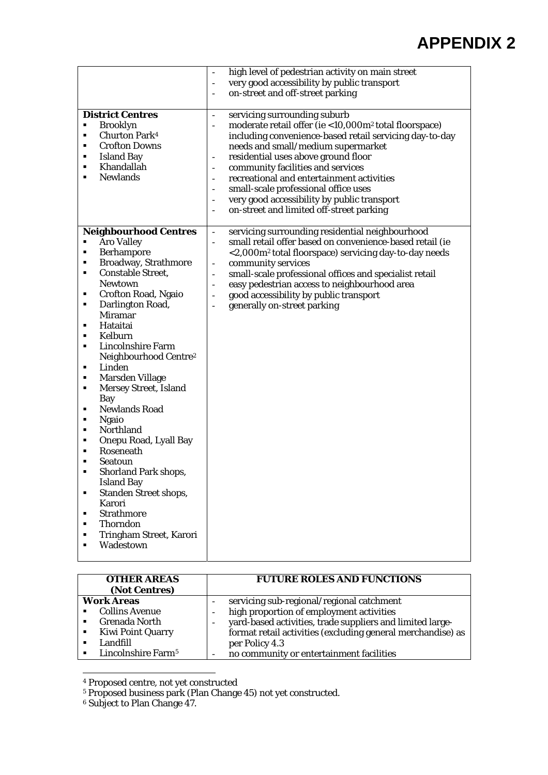| <b>District Centres</b><br><b>Brooklyn</b><br>$\blacksquare$<br><b>Churton Park4</b><br>$\blacksquare$<br><b>Crofton Downs</b><br>٠<br><b>Island Bay</b><br>٠<br>Khandallah<br>٠<br><b>Newlands</b><br>٠                                                                                                                                                                                                                                                                                                                                                                                                                                                                                                                                                                 | high level of pedestrian activity on main street<br>÷,<br>very good accessibility by public transport<br>$\overline{\phantom{a}}$<br>on-street and off-street parking<br>$\overline{\phantom{0}}$<br>servicing surrounding suburb<br>$\blacksquare$<br>moderate retail offer (ie <10,000m <sup>2</sup> total floorspace)<br>$\overline{\phantom{m}}$<br>including convenience-based retail servicing day-to-day<br>needs and small/medium supermarket<br>residential uses above ground floor<br>$\qquad \qquad \blacksquare$<br>community facilities and services<br>$\overline{\phantom{a}}$<br>recreational and entertainment activities<br>$\overline{\phantom{a}}$<br>small-scale professional office uses<br>$\overline{\phantom{a}}$<br>very good accessibility by public transport<br>$\overline{\phantom{a}}$<br>on-street and limited off-street parking<br>$\overline{\phantom{a}}$ |
|--------------------------------------------------------------------------------------------------------------------------------------------------------------------------------------------------------------------------------------------------------------------------------------------------------------------------------------------------------------------------------------------------------------------------------------------------------------------------------------------------------------------------------------------------------------------------------------------------------------------------------------------------------------------------------------------------------------------------------------------------------------------------|-----------------------------------------------------------------------------------------------------------------------------------------------------------------------------------------------------------------------------------------------------------------------------------------------------------------------------------------------------------------------------------------------------------------------------------------------------------------------------------------------------------------------------------------------------------------------------------------------------------------------------------------------------------------------------------------------------------------------------------------------------------------------------------------------------------------------------------------------------------------------------------------------|
| <b>Neighbourhood Centres</b><br><b>Aro Valley</b><br>٠<br><b>Berhampore</b><br>$\blacksquare$<br>Broadway, Strathmore<br>٠<br><b>Constable Street,</b><br>٠<br><b>Newtown</b><br>Crofton Road, Ngaio<br>٠<br>Darlington Road,<br>٠<br><b>Miramar</b><br>Hataitai<br>٠<br>Kelburn<br>٠<br><b>Lincolnshire Farm</b><br>٠<br>Neighbourhood Centre <sup>2</sup><br>Linden<br>٠<br>Marsden Village<br>٠<br><b>Mersey Street, Island</b><br>٠<br>Bay<br><b>Newlands Road</b><br>٠<br><b>Ngaio</b><br>٠<br>Northland<br>٠<br>Onepu Road, Lyall Bay<br>٠<br>Roseneath<br>٠<br>Seatoun<br>٠<br><b>Shorland Park shops,</b><br>٠<br><b>Island Bay</b><br><b>Standen Street shops,</b><br>٠<br>Karori<br><b>Strathmore</b><br>٠<br>Thorndon<br>Tringham Street, Karori<br>Wadestown | servicing surrounding residential neighbourhood<br>$\blacksquare$<br>small retail offer based on convenience-based retail (ie<br>$\overline{\phantom{a}}$<br><2,000m <sup>2</sup> total floorspace) servicing day-to-day needs<br>community services<br>$\blacksquare$<br>small-scale professional offices and specialist retail<br>$\overline{\phantom{a}}$<br>easy pedestrian access to neighbourhood area<br>$\overline{\phantom{a}}$<br>good accessibility by public transport<br>$\blacksquare$<br>generally on-street parking<br>$\overline{a}$                                                                                                                                                                                                                                                                                                                                         |

| <b>OTHER AREAS</b><br>(Not Centres) | <b>FUTURE ROLES AND FUNCTIONS</b>                           |
|-------------------------------------|-------------------------------------------------------------|
| <b>Work Areas</b>                   | servicing sub-regional/regional catchment                   |
| <b>Collins Avenue</b>               | high proportion of employment activities                    |
| <b>Grenada North</b>                | vard-based activities, trade suppliers and limited large-   |
| <b>Kiwi Point Quarry</b>            | format retail activities (excluding general merchandise) as |
| Landfill                            | per Policy 4.3                                              |
| Lincolnshire Farm <sup>5</sup>      | no community or entertainment facilities                    |

<span id="page-12-0"></span><sup>4</sup> Proposed centre, not yet constructed

l

<span id="page-12-1"></span><sup>5</sup> Proposed business park (Plan Change 45) not yet constructed.

<sup>6</sup> Subject to Plan Change 47.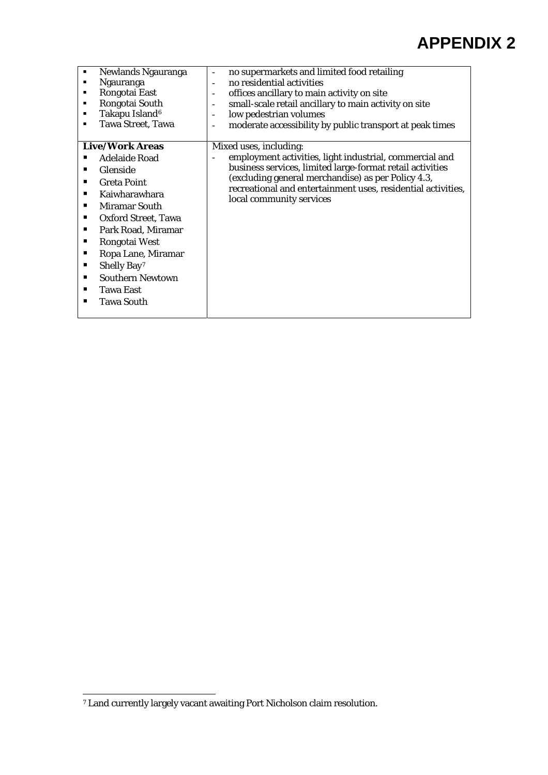| Newlands Ngauranga              | no supermarkets and limited food retailing                    |
|---------------------------------|---------------------------------------------------------------|
| Ngauranga                       | no residential activities                                     |
| Rongotai East                   | offices ancillary to main activity on site<br>$\overline{a}$  |
| Rongotai South<br>٠             | small-scale retail ancillary to main activity on site<br>-    |
| Takapu Island <sup>6</sup><br>٠ | low pedestrian volumes                                        |
| <b>Tawa Street, Tawa</b><br>п   | moderate accessibility by public transport at peak times<br>- |
|                                 |                                                               |
| <b>Live/Work Areas</b>          | Mixed uses, including:                                        |
| Adelaide Road                   | employment activities, light industrial, commercial and       |
| Glenside                        | business services, limited large-format retail activities     |
| <b>Greta Point</b>              | (excluding general merchandise) as per Policy 4.3,            |
| Kaiwharawhara                   | recreational and entertainment uses, residential activities,  |
| <b>Miramar South</b>            | local community services                                      |
|                                 |                                                               |
| Oxford Street, Tawa             |                                                               |
| Park Road, Miramar              |                                                               |
| Rongotai West                   |                                                               |
| Ropa Lane, Miramar              |                                                               |
| Shelly Bay <sup>7</sup>         |                                                               |
| <b>Southern Newtown</b>         |                                                               |
| <b>Tawa East</b>                |                                                               |
| <b>Tawa South</b><br>▪          |                                                               |
|                                 |                                                               |
|                                 |                                                               |

<span id="page-13-0"></span>l 7 Land currently largely vacant awaiting Port Nicholson claim resolution.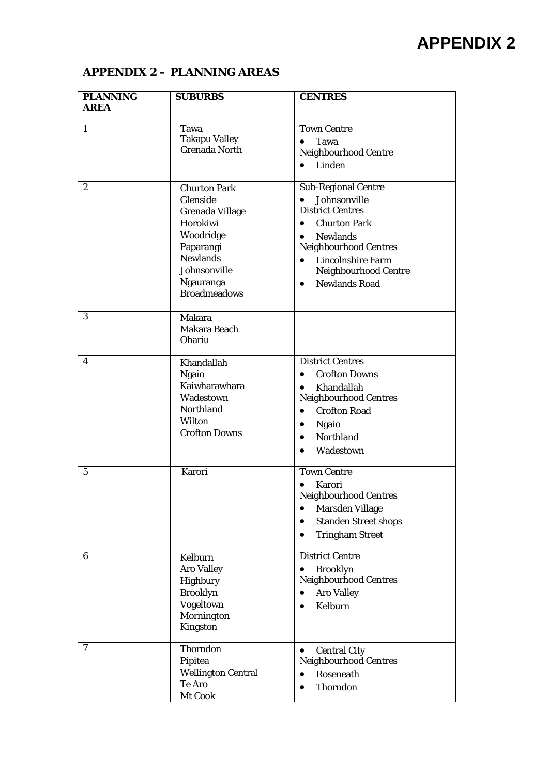# **APPENDIX 2 – PLANNING AREAS**

| <b>PLANNING</b><br><b>AREA</b> | <b>SUBURBS</b>                                                                                                                                                         | <b>CENTRES</b>                                                                                                                                                                                                                                                                               |
|--------------------------------|------------------------------------------------------------------------------------------------------------------------------------------------------------------------|----------------------------------------------------------------------------------------------------------------------------------------------------------------------------------------------------------------------------------------------------------------------------------------------|
| 1                              | Tawa<br><b>Takapu Valley</b><br><b>Grenada North</b>                                                                                                                   | <b>Town Centre</b><br>Tawa<br>$\bullet$<br>Neighbourhood Centre<br>Linden<br>$\bullet$                                                                                                                                                                                                       |
| $\mathbf{2}$                   | <b>Churton Park</b><br>Glenside<br><b>Grenada Village</b><br>Horokiwi<br>Woodridge<br>Paparangi<br><b>Newlands</b><br>Johnsonville<br>Ngauranga<br><b>Broadmeadows</b> | <b>Sub-Regional Centre</b><br>Johnsonville<br>$\bullet$<br><b>District Centres</b><br><b>Churton Park</b><br>$\bullet$<br><b>Newlands</b><br>$\bullet$<br><b>Neighbourhood Centres</b><br><b>Lincolnshire Farm</b><br>$\bullet$<br>Neighbourhood Centre<br><b>Newlands Road</b><br>$\bullet$ |
| 3                              | <b>Makara</b><br>Makara Beach<br><b>Ohariu</b>                                                                                                                         |                                                                                                                                                                                                                                                                                              |
| 4                              | Khandallah<br><b>Ngaio</b><br>Kaiwharawhara<br>Wadestown<br>Northland<br>Wilton<br><b>Crofton Downs</b>                                                                | <b>District Centres</b><br><b>Crofton Downs</b><br>$\bullet$<br>Khandallah<br>$\bullet$<br><b>Neighbourhood Centres</b><br><b>Crofton Road</b><br>$\bullet$<br>Ngaio<br>$\bullet$<br>Northland<br>$\bullet$<br>Wadestown<br>$\bullet$                                                        |
| 5                              | Karori                                                                                                                                                                 | <b>Town Centre</b><br>Karori<br>$\bullet$<br><b>Neighbourhood Centres</b><br><b>Marsden Village</b><br>$\bullet$<br><b>Standen Street shops</b><br>$\bullet$<br><b>Tringham Street</b><br>٠                                                                                                  |
| 6                              | Kelburn<br><b>Aro Valley</b><br>Highbury<br><b>Brooklyn</b><br>Vogeltown<br>Mornington<br>Kingston                                                                     | <b>District Centre</b><br><b>Brooklyn</b><br>٠<br><b>Neighbourhood Centres</b><br><b>Aro Valley</b><br>$\bullet$<br>Kelburn<br>$\bullet$                                                                                                                                                     |
| 7                              | Thorndon<br>Pipitea<br><b>Wellington Central</b><br>Te Aro<br>Mt Cook                                                                                                  | <b>Central City</b><br>$\bullet$<br>Neighbourhood Centres<br>Roseneath<br>$\bullet$<br>Thorndon<br>$\bullet$                                                                                                                                                                                 |